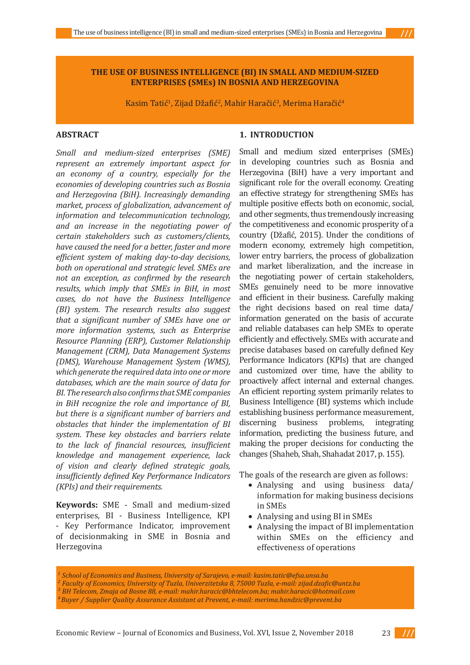### **THE USE OF BUSINESS INTELLIGENCE (BI) IN SMALL AND MEDIUM-SIZED ENTERPRISES (SMEs) IN BOSNIA AND HERZEGOVINA**

Kasim Tatić<sup>1</sup>, Zijad Džafić<sup>2</sup>, Mahir Haračić<sup>3</sup>, Merima Haračić<sup>4</sup>

# **ABSTRACT**

*Small and medium-sized enterprises (SME) represent an extremely important aspect for an economy of a country, especially for the economies of developing countries such as Bosnia and Herzegovina (BiH). Increasingly demanding market, process of globalization, advancement of information and telecommunication technology, and an increase in the negotiating power of certain stakeholders such as customers/clients, have caused the need for a better, faster and more efficient system of making day-to-day decisions, both on operational and strategic level. SMEs are not an exception, as confirmed by the research results, which imply that SMEs in BiH, in most cases, do not have the Business Intelligence (BI) system. The research results also suggest that a significant number of SMEs have one or more information systems, such as Enterprise Resource Planning (ERP), Customer Relationship Management (CRM), Data Management Systems (DMS), Warehouse Management System (WMS), which generate the required data into one or more databases, which are the main source of data for BI. The research also confirms that SME companies in BiH recognize the role and importance of BI, but there is a significant number of barriers and obstacles that hinder the implementation of BI system. These key obstacles and barriers relate to the lack of financial resources, insufficient knowledge and management experience, lack of vision and clearly defined strategic goals, insufficiently defined Key Performance Indicators (KPIs) and their requirements.*

**Keywords:** SME - Small and medium-sized enterprises, BI - Business Intelligence, KPI - Key Performance Indicator, improvement of decisionmaking in SME in Bosnia and Herzegovina

### **1. INTRODUCTION**

Small and medium sized enterprises (SMEs) in developing countries such as Bosnia and Herzegovina (BiH) have a very important and significant role for the overall economy. Creating an effective strategy for strengthening SMEs has multiple positive effects both on economic, social, and other segments, thus tremendously increasing the competitiveness and economic prosperity of a country (Džafić, 2015). Under the conditions of modern economy, extremely high competition, lower entry barriers, the process of globalization and market liberalization, and the increase in the negotiating power of certain stakeholders, SMEs genuinely need to be more innovative and efficient in their business. Carefully making the right decisions based on real time data/ information generated on the basis of accurate and reliable databases can help SMEs to operate efficiently and effectively. SMEs with accurate and precise databases based on carefully defined Key Performance Indicators (KPIs) that are changed and customized over time, have the ability to proactively affect internal and external changes. An efficient reporting system primarily relates to Business Intelligence (BI) systems which include establishing business performance measurement,<br>discerning business problems, integrating business problems, integrating information, predicting the business future, and making the proper decisions for conducting the changes (Shaheb, Shah, Shahadat 2017, p. 155).

The goals of the research are given as follows:

- Analysing and using business data/ information for making business decisions in SMEs
- Analysing and using BI in SMEs
- Analysing the impact of BI implementation within SMEs on the efficiency and effectiveness of operations

*1 School of Economics and Business, University of Sarajevo, e-mail: kasim.tatic@efsa.unsa.ba <sup>2</sup>Faculty of Economics, University of Tuzla, Univerzitetska 8, 75000 Tuzla, e-mail: zijad.dzafic@untz.ba 3 BH Telecom, Zmaja od Bosne 88, e-mail: mahir.haracic@bhtelecom.ba; mahir.haracic@hotmail.com 4Buyer / Supplier Quality Assurance Assistant at Prevent, e-mail: merima.handzic@prevent.ba*



 $111$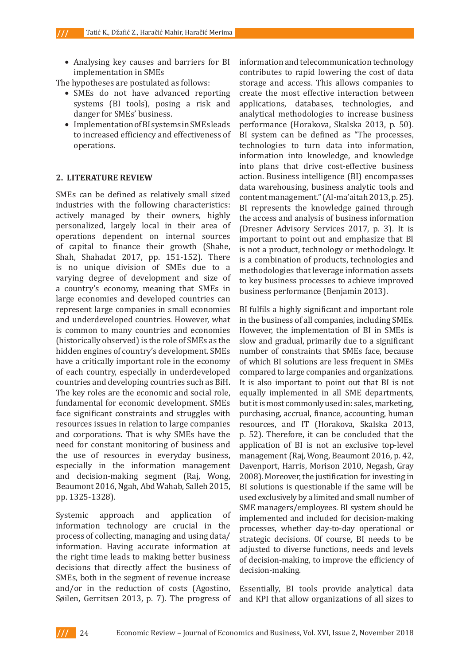• Analysing key causes and barriers for BI implementation in SMEs

The hypotheses are postulated as follows:

- SMEs do not have advanced reporting systems (BI tools), posing a risk and danger for SMEs' business.
- • Implementation of BI systems in SMEs leads to increased efficiency and effectiveness of operations.

### **2. LITERATURE REVIEW**

SMEs can be defined as relatively small sized industries with the following characteristics: actively managed by their owners, highly personalized, largely local in their area of operations dependent on internal sources of capital to finance their growth (Shahe, Shah, Shahadat 2017, pp. 151-152). There is no unique division of SMEs due to a varying degree of development and size of a country's economy, meaning that SMEs in large economies and developed countries can represent large companies in small economies and underdeveloped countries. However, what is common to many countries and economies (historically observed) is the role of SMEs as the hidden engines of country's development. SMEs have a critically important role in the economy of each country, especially in underdeveloped countries and developing countries such as BiH. The key roles are the economic and social role, fundamental for economic development. SMEs face significant constraints and struggles with resources issues in relation to large companies and corporations. That is why SMEs have the need for constant monitoring of business and the use of resources in everyday business, especially in the information management and decision-making segment (Raj, Wong, Beaumont 2016, Ngah, Abd Wahab, Salleh 2015, pp. 1325-1328).

Systemic approach and application of information technology are crucial in the process of collecting, managing and using data/ information. Having accurate information at the right time leads to making better business decisions that directly affect the business of SMEs, both in the segment of revenue increase and/or in the reduction of costs (Agostino, Søilen, Gerritsen 2013, p. 7). The progress of information and telecommunication technology contributes to rapid lowering the cost of data storage and access. This allows companies to create the most effective interaction between applications, databases, technologies, and analytical methodologies to increase business performance (Horakova, Skalska 2013, p. 50). BI system can be defined as "The processes, technologies to turn data into information, information into knowledge, and knowledge into plans that drive cost-effective business action. Business intelligence (BI) encompasses data warehousing, business analytic tools and content management." (Al-ma'aitah 2013, p. 25). BI represents the knowledge gained through the access and analysis of business information (Dresner Advisory Services 2017, p. 3). It is important to point out and emphasize that BI is not a product, technology or methodology. It is a combination of products, technologies and methodologies that leverage information assets to key business processes to achieve improved business performance (Benjamin 2013).

BI fulfils a highly significant and important role in the business of all companies, including SMEs. However, the implementation of BI in SMEs is slow and gradual, primarily due to a significant number of constraints that SMEs face, because of which BI solutions are less frequent in SMEs compared to large companies and organizations. It is also important to point out that BI is not equally implemented in all SME departments, but it is most commonly used in: sales, marketing, purchasing, accrual, finance, accounting, human resources, and IT (Horakova, Skalska 2013, p. 52). Therefore, it can be concluded that the application of BI is not an exclusive top-level management (Raj, Wong, Beaumont 2016, p. 42, Davenport, Harris, Morison 2010, Negash, Gray 2008). Moreover, the justification for investing in BI solutions is questionable if the same will be used exclusively by a limited and small number of SME managers/employees. BI system should be implemented and included for decision-making processes, whether day-to-day operational or strategic decisions. Of course, BI needs to be adjusted to diverse functions, needs and levels of decision-making, to improve the efficiency of decision-making.

Essentially, BI tools provide analytical data and KPI that allow organizations of all sizes to

 $III$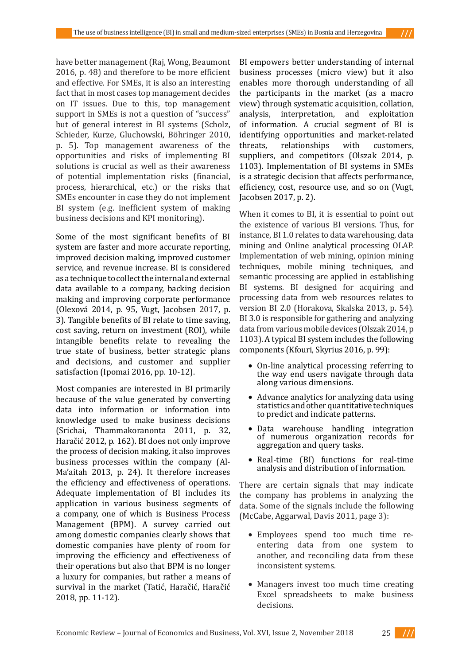have better management (Raj, Wong, Beaumont 2016, p. 48) and therefore to be more efficient and effective. For SMEs, it is also an interesting fact that in most cases top management decides on IT issues. Due to this, top management support in SMEs is not a question of "success" but of general interest in BI systems (Scholz, Schieder, Kurze, Gluchowski, Böhringer 2010, p. 5). Top management awareness of the opportunities and risks of implementing BI solutions is crucial as well as their awareness of potential implementation risks (financial, process, hierarchical, etc.) or the risks that SMEs encounter in case they do not implement BI system (e.g. inefficient system of making business decisions and KPI monitoring).

Some of the most significant benefits of BI system are faster and more accurate reporting, improved decision making, improved customer service, and revenue increase. BI is considered as a technique to collect the internal and external data available to a company, backing decision making and improving corporate performance (Olexová 2014, p. 95, Vugt, Jacobsen 2017, p. 3). Tangible benefits of BI relate to time saving, cost saving, return on investment (ROI), while intangible benefits relate to revealing the true state of business, better strategic plans and decisions, and customer and supplier satisfaction (Ipomai 2016, pp. 10-12).

Most companies are interested in BI primarily because of the value generated by converting data into information or information into knowledge used to make business decisions (Srichai, Thammakoranonta 2011, p. 32, Haračić 2012, p. 162). BI does not only improve the process of decision making, it also improves business processes within the company (Al-Ma'aitah 2013, p. 24). It therefore increases the efficiency and effectiveness of operations. Adequate implementation of BI includes its application in various business segments of a company, one of which is Business Process Management (BPM). A survey carried out among domestic companies clearly shows that domestic companies have plenty of room for improving the efficiency and effectiveness of their operations but also that BPM is no longer a luxury for companies, but rather a means of survival in the market (Tatić, Haračić, Haračić 2018, pp. 11-12).

BI empowers better understanding of internal business processes (micro view) but it also enables more thorough understanding of all the participants in the market (as a macro view) through systematic acquisition, collation, analysis, interpretation, and exploitation of information. A crucial segment of BI is identifying opportunities and market-related<br>threats, relationships with customers, relationships suppliers, and competitors (Olszak 2014, p. 1103). Implementation of BI systems in SMEs is a strategic decision that affects performance, efficiency, cost, resource use, and so on (Vugt, Jacobsen 2017, p. 2).

When it comes to BI, it is essential to point out the existence of various BI versions. Thus, for instance, BI 1.0 relates to data warehousing, data mining and Online analytical processing OLAP. Implementation of web mining, opinion mining techniques, mobile mining techniques, and semantic processing are applied in establishing BI systems. BI designed for acquiring and processing data from web resources relates to version BI 2.0 (Horakova, Skalska 2013, p. 54). BI 3.0 is responsible for gathering and analyzing data from various mobile devices (Olszak 2014, p 1103). A typical BI system includes the following components (Kfouri, Skyrius 2016, p. 99):

- • On-line analytical processing referring to the way end users navigate through data along various dimensions.
- Advance analytics for analyzing data using statistics and other quantitative techniques to predict and indicate patterns.
- Data warehouse handling integration of numerous organization records for aggregation and query tasks.
- Real-time (BI) functions for real-time analysis and distribution of information.

There are certain signals that may indicate the company has problems in analyzing the data. Some of the signals include the following (McCabe, Aggarwal, Davis 2011, page 3):

- • Employees spend too much time reentering data from one system to another, and reconciling data from these inconsistent systems.
- Managers invest too much time creating Excel spreadsheets to make business decisions.

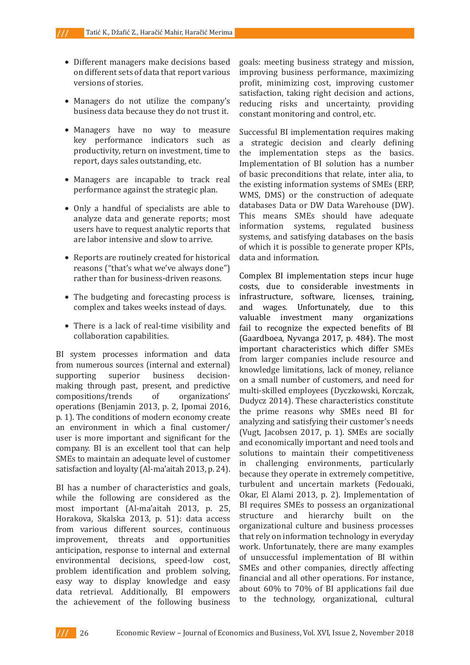- Different managers make decisions based on different sets of data that report various versions of stories.
- Managers do not utilize the company's business data because they do not trust it.
- Managers have no way to measure key performance indicators such as productivity, return on investment, time to report, days sales outstanding, etc.
- Managers are incapable to track real performance against the strategic plan.
- Only a handful of specialists are able to analyze data and generate reports; most users have to request analytic reports that are labor intensive and slow to arrive.
- Reports are routinely created for historical reasons ("that's what we've always done") rather than for business-driven reasons.
- The budgeting and forecasting process is complex and takes weeks instead of days.
- There is a lack of real-time visibility and collaboration capabilities.

BI system processes information and data from numerous sources (internal and external)<br>supporting superior business decisionsupporting making through past, present, and predictive compositions/trends of organizations' operations (Benjamin 2013, p. 2, Ipomai 2016, p. 1). The conditions of modern economy create an environment in which a final customer/ user is more important and significant for the company. BI is an excellent tool that can help SMEs to maintain an adequate level of customer satisfaction and loyalty (Al-ma'aitah 2013, p. 24).

BI has a number of characteristics and goals, while the following are considered as the most important (Al-ma'aitah 2013, p. 25, Horakova, Skalska 2013, p. 51): data access from various different sources, continuous<br>improvement, threats and opportunities improvement, threats anticipation, response to internal and external environmental decisions, speed-low cost, problem identification and problem solving, easy way to display knowledge and easy data retrieval. Additionally, BI empowers the achievement of the following business goals: meeting business strategy and mission, improving business performance, maximizing profit, minimizing cost, improving customer satisfaction, taking right decision and actions, reducing risks and uncertainty, providing constant monitoring and control, etc.

Successful BI implementation requires making a strategic decision and clearly defining the implementation steps as the basics. Implementation of BI solution has a number of basic preconditions that relate, inter alia, to the existing information systems of SMEs (ERP, WMS, DMS) or the construction of adequate databases Data or DW Data Warehouse (DW). This means SMEs should have adequate information systems, regulated business systems, and satisfying databases on the basis of which it is possible to generate proper KPIs, data and information.

Complex BI implementation steps incur huge costs, due to considerable investments in infrastructure, software, licenses, training, and wages. Unfortunately, due to this valuable investment many organizations fail to recognize the expected benefits of BI (Gaardboea, Nyvanga 2017, p. 484). The most important characteristics which differ SMEs from larger companies include resource and knowledge limitations, lack of money, reliance on a small number of customers, and need for multi-skilled employees (Dyczkowski, Korczak, Dudycz 2014). These characteristics constitute the prime reasons why SMEs need BI for analyzing and satisfying their customer's needs (Vugt, Jacobsen 2017, p. 1). SMEs are socially and economically important and need tools and solutions to maintain their competitiveness in challenging environments, particularly because they operate in extremely competitive, turbulent and uncertain markets (Fedouaki, Okar, El Alami 2013, p. 2). Implementation of BI requires SMEs to possess an organizational structure and hierarchy built on the organizational culture and business processes that rely on information technology in everyday work. Unfortunately, there are many examples of unsuccessful implementation of BI within SMEs and other companies, directly affecting financial and all other operations. For instance, about 60% to 70% of BI applications fail due to the technology, organizational, cultural

 $III$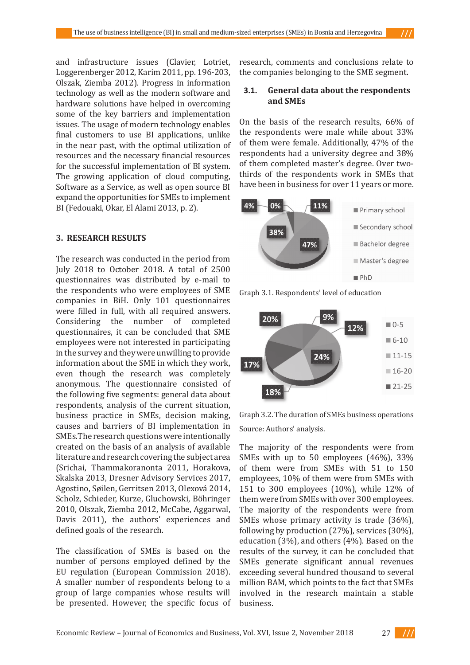## **3.1. General data about the respondents and SMEs**

On the basis of the research results, 66% of the respondents were male while about 33% of them were female. Additionally, 47% of the respondents had a university degree and 38% of them completed master's degree. Over twothirds of the respondents work in SMEs that have been in business for over 11 years or more.



Graph 3.1. Respondents' level of education



Graph 3.2. The duration of SMEs business operations Source: Authors' analysis.

The majority of the respondents were from SMEs with up to 50 employees (46%), 33% of them were from SMEs with 51 to 150 employees, 10% of them were from SMEs with 151 to 300 employees (10%), while 12% of them were from SMEs with over 300 employees. The majority of the respondents were from SMEs whose primary activity is trade (36%), following by production (27%), services (30%), education (3%), and others (4%). Based on the results of the survey, it can be concluded that SMEs generate significant annual revenues exceeding several hundred thousand to several million BAM, which points to the fact that SMEs involved in the research maintain a stable business.

and infrastructure issues (Clavier, Lotriet, Loggerenberger 2012, Karim 2011, pp. 196-203, Olszak, Ziemba 2012). Progress in information technology as well as the modern software and hardware solutions have helped in overcoming some of the key barriers and implementation issues. The usage of modern technology enables final customers to use BI applications, unlike in the near past, with the optimal utilization of resources and the necessary financial resources for the successful implementation of BI system. The growing application of cloud computing, Software as a Service, as well as open source BI expand the opportunities for SMEs to implement BI (Fedouaki, Okar, El Alami 2013, p. 2).

### **3. RESEARCH RESULTS**

The research was conducted in the period from July 2018 to October 2018. A total of 2500 questionnaires was distributed by e-mail to the respondents who were employees of SME companies in BiH. Only 101 questionnaires were filled in full, with all required answers. Considering the number of completed questionnaires, it can be concluded that SME employees were not interested in participating in the survey and they were unwilling to provide information about the SME in which they work, even though the research was completely anonymous. The questionnaire consisted of the following five segments: general data about respondents, analysis of the current situation, business practice in SMEs, decision making, causes and barriers of BI implementation in SMEs.The research questions were intentionally created on the basis of an analysis of available literature and research covering the subject area (Srichai, Thammakoranonta 2011, Horakova, Skalska 2013, Dresner Advisory Services 2017, Agostino, Søilen, Gerritsen 2013, Olexová 2014, Scholz, Schieder, Kurze, Gluchowski, Böhringer 2010, Olszak, Ziemba 2012, McCabe, Aggarwal, Davis 2011), the authors' experiences and defined goals of the research.

The classification of SMEs is based on the number of persons employed defined by the EU regulation (European Commission 2018). A smaller number of respondents belong to a group of large companies whose results will be presented. However, the specific focus of

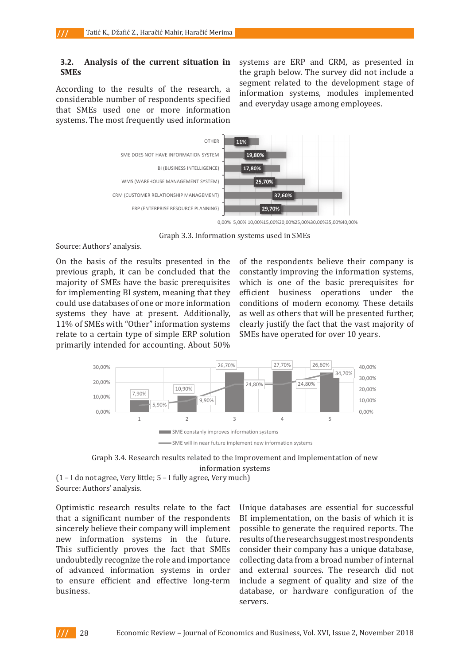### **3.2. Analysis of the current situation in SMEs**

According to the results of the research, a considerable number of respondents specified that SMEs used one or more information systems. The most frequently used information systems are ERP and CRM, as presented in the graph below. The survey did not include a segment related to the development stage of information systems, modules implemented and everyday usage among employees.



**Graph 3.3: Information systems used in SMEs**  Graph 3.3. Information systems used in SMEs

**Source: Authors' analysis.**  Source: Authors' analysis.

relate to a certain type of simple ERP solution SMEs have operated for over 10 years.  $0<sub>0</sub>$ primarily intended for accounting. About 50% **Source: Authors' analysis.**  On the basis of the results presented in the **On the basis of the results presented in the previous graph, it can be concluded that the**  majority of SMEs have the basic prerequisites which is one of the basic prerequi for implementing BI system, meaning that they efficient business operations un systems they have at present. Additionally, as well as others that will be presente 11% of SMEs with "Other" information systems clearly justify the fact that the vast m **fact that the vast majority of SMEs have operated for over 10 years.**  previous graph, it can be concluded that the could use databases of one or more information

of the results presented in the sof the respondents believe their company is h, it can be concluded that the constantly improving the information systems, AEs have the basic prerequisites which is one of the basic prerequisites for ing BI system, meaning that they efficient business operations under the **simple ERP solution primarily intended for accounting. About 50% of the respondents**   $e$  databases of one or more information conditions of modern economy. These details have at present. Additionally, as well as others that will be presented further, with "Other" information systems clearly justify the fact that the vast majority of SMEs have operated for over 10 years.





**Optimistic research results relate to the fact that a significant number of the respondents s** didivision in the future of  $\alpha$  in the future in the future in the future in the future in the future.  $\alpha$  is the future in the future in the future in the future in the future in the future in the future in the futu **Source: Authors' analysis.** (1 – I do not agree, Very little; 5 – I fully agree, Very much)

**This sufficiently proves the fact that SMEs undoubtedly recognize the role and Common results relate to the fact of the fact that a significant number of the respondents** BI implementation, on the basis of w **sincerely believe their company will implement new information systems in the future.**  sincerely believe their company will implement possible to generate the required rep new information systems in the future. results<sub>of the research<sub>suggest most res</sub></sub> **long-term business.**  This sufficiently proves the fact that SMEs Optimistic research results relate to the fact undoubtedly recognize the role and importance of advanced information systems in order to ensure efficient and effective long-term business.

**8**  collecting data from a broad number of internal iearch results relate to the fact Unique databases are essential for successful BI implementation, on the basis of which it is possible to generate the required reports. The results of the research suggest most respondents consider their company has a unique database, and external sources. The research did not include a segment of quality and size of the database, or hardware configuration of the servers.

 $III$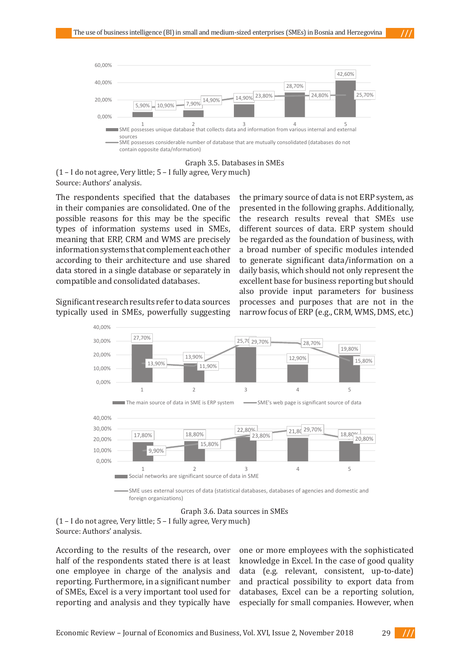

Graph 3.5. Databases in SMEs

**(1 – I do not agree, Very little; 5 – I fully agree, Very much)**  (1 – I do not agree, Very little; 5 – I fully agree, Very much) **Source: Authors' analysis.**  Source: Authors' analysis.

**Source: Authors' analysis.**  in their companies are consolidated. One of the presented in the following graphs. Add possible reasons for this may be the specific the research results reveal that S **SMEs, meaning that ERP, CRM and WMS are precisely information systems that**  types of information systems used in SMEs, different sources of data. ERP system meaning that ERP, CRM and WMS are precisely be regarded as the fou suggesting the primary source of the primary source of the primary source of the primary source of the following  $\frac{1}{2}$  suggesting  $\frac{1}{2}$  suggesting  $\frac{1}{2}$  suggesting  $\frac{1}{2}$  suggesting  $\frac{1}{2}$  suggesting  $\frac{$ data stored in a single database or separately in daily basis, which should not only repr The respondents specified that the databases information systems that complement each other according to their architecture and use shared compatible and consolidated databases.

typically used in SMEs, powerfully suggesting narrow focus of ERP (e.g., CRM, WMS, I Significant research results refer to data sources

**Significant results references** to determine the product in the product of displacement in SMS systems in the product of the product of the product of the form of the form of the following  $\alpha$  is not beginned by the foll ble and consolidated databases. The rescellent base for business reporting but should also provide input parameters for business nt research results refer to data sources processes and purposes that are not in the ondents specified that the databases the primary source of data is not ERP system, as **the possible reasons for this may be the specific types of information systems used in**  presented in the following graphs. Additionally, Supering are consolidated. One of the presented in the following graphs, rudu reasons for this may be the specific the research results reveal that SMEs use on systems that complement each other a broad number of specific modules intended **g** to their architecture and use shared to generate significant data/information on a ed in a single database or separately in a daily basis, which should not only represent the different sources of data. ERP system should be regarded as the foundation of business, with narrow focus of ERP (e.g., CRM, WMS, DMS, etc.)



foreign organizations)

Graph 3.6. Data sources in SMEs **Graph 3.6: Data sources in SMEs** 

(1 – I do not agree, Very little; 5 – I fully agree, Very much) Source: Authors' analysis.

**Source: Authors' analysis.**  According to the results of the research, over half of the respondents stated there is at least one employee in charge of the analysis and reporting. Furthermore, in a significant number of SMEs, Excel is a very important tool used for reporting and analysis and they typically have

le respondents stated there is at least knowledge in Excel. In the case of good quality loyee in charge of the analysis and data (e.g. relevant, consistent, up-to-date) **p**. Furthermore, in a significant number and practical possibility to export data from **typically have one or more employees with the sophisticated knowledge in Excel. In the**  databases, Excel can be a reporting solution, case of a very million data (e.g. relevant, up-to-date) and produced possibility for another production  $\mu$  $\mathbf g$  and analysis and they typically have  $\mathbf e$  especially for small companies. However, when one or more employees with the sophisticated

Economic Review – Journal of Economics and Business, Vol. XVI, Issue 2, November 2018 29 **with significant turnover and increasing number of business processes, it is necessary to have a have a have a** more contourned and busing

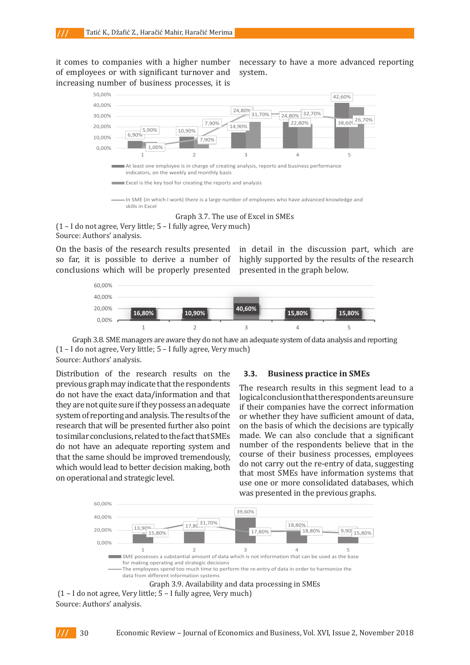it comes to companies with a higher number of employees or with significant turnover and increasing number of business processes, it is

to companies with a higher number necessary to have a more advanced reporting system.



Graph 3.7. The use of Excel in SMEs **Graph 3.7: The use of Excel in SMEs** 

(1 – I do not agree, Very little; 5 – I fully agree, Very much) **(1 – I do not agree, Very little; 5 – I fully agree, Very much)**  Source: Authors' analysis. **Source: Authors' analysis.** 

On the basis of the research results presented so far, it is possible to derive a number of conclusions which will be properly presented presented in the graph below.

asis of the research results presented in detail in the discussion part, which are is possible to derive a number of highly supported by the results of the research presented in the graph below.



Graph 3.8. SME managers are aware they do not have an adequate system of data analysis and reporting  $(1 - I$  do not agree, Very little;  $5 - I$  fully agree, Very much) Source: Authors' analysis. **analysis and reporting** 

Distribution of the research results on the **3.3. Busine Source: Authors' analysis.**  previous graph may indicate that the respondents they are not quite sure if they possess an adequate if their companies have the correct information that they are not quite sure if they possess an adequate if their companies have the correct information exact distribution and process are not pairs. In their companies have the correct mornial system of reporting and analysis. The results of the or whether they have sufficient amount of  $\alpha$ **strategic level.**  that the same should be improved tremendously, do not have the exact data/information and that research that will be presented further also point to similar conclusions, related to the fact that SMEs do not have an adequate reporting system and which would lead to better decision making, both on operational and strategic level.

### **3.3. Business practice in SMEs**

**they define any possess and an adequate system of the results of reporting and analysis.** The results of the results of the results of the results of the results of the results of the results of the results of the results that will be presented further also point to be presented to similar conclusions, related to the fact that a complete EUT DO NOTE AND THE REFORMATION **STATES** and that the same show that the same an adequate reporting system and **number** of the respondents believe that in the ave an adequate reporting system and **trainber** or the respondents believe that in the ame should be improved tremendously, course of their business processes, employees The research results in this segment lead to a logical conclusion that the respondents are unsure if their companies have the correct information or whether they have sufficient amount of data, on the basis of which the decisions are typically made. We can also conclude that a significant do not carry out the re-entry of data, suggesting that most SMEs have information systems that use one or more consolidated databases, which was presented in the previous graphs.

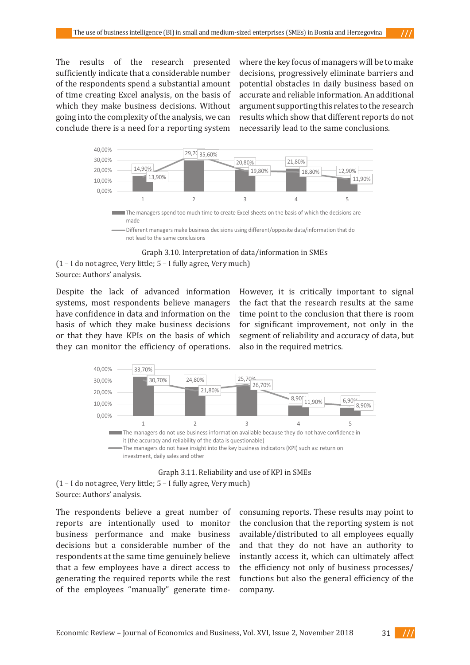The results of the research presented sufficiently indicate that a considerable number of the respondents spend a substantial amount of time creating Excel analysis, on the basis of which they make business decisions. Without going into the complexity of the analysis, we can conclude there is a need for a reporting system **necessarily lead to the same conclusions.** 

sults of the research presented where the key focus of managers will be to make ly indicate that a considerable number decisions, progressively eliminate barriers and pondents spend a substantial amount potential obstacles in daily business based on **relating Excel analysis, on the basis of accurate and reliable information. An additional relations** argument supporting this relates to the research results which show that different reports do not necessarily lead to the same conclusions. **which is the to may** only the barriers and positions and positions and positions and positions and positions and positions and positions are  $W$  in  $\mathcal{W}$  in  $\mathcal{W}$  in  $\mathcal{W}$  is a constant of the set of the set of t **daily business based on accurate and reliable information. An additional argument**  full complexity of the analysis, we can desults which show that unferent reports  $\alpha$ 



Different managers make business decisions using different/opposite data/information that do not lead to the same conclusions

Graph 3.10. Interpretation of data/information in SMEs **Graph 3.10: Interpretation of data/information in SMEs** 

systems, most respondents believe managers the fact that the research results at the they can monitor the efficiency of operations. also in the required metrics. Despite the lack of advanced information have confidence in data and information on the basis of which they make business decisions or that they have KPIs on the basis of which

**Despite the lack of advanced information systems, most respondents believe managers**  fidence in data and information on the time point to the conclusion that there is room which they make business decisions for significant improvement, not only in the hey have KPIs on the basis of which segment of reliability and accuracy of data, but However, it is critically important to signal the fact that the research results at the same also in the required metrics.





(1 – I do not agree, Very little; 5 – I fully agree, Very much)  **(1 – I do not agree, Very little; 5 – I fully agree, Very much)**  Source: Authors' analysis. **Source: Authors' analysis.** 

generating the required reports while the rest hunctions but also the genera The respondents believe a great number of reports are intentionally used to monitor business performance and make business decisions but a considerable number of the respondents at the same time genuinely believe that a few employees have a direct access to of the employees "manually" generate time-

bondents believe a great number of consuming reports. These results may point to are intentionally used to monitor the conclusion that the reporting system is not performance and make business available/distributed to all employees equally to but a considerable number of the and that they do not have an authority to **the same time genuinely believe** instantly access it, which can ultimately affect w employees have a direct access to the efficiency not only of business processes/ authority to instant a unit of the second can ultimately and ultimately and ultimately affect the efficiency of functions but also the general efficiency of the company.



<sup>(1 –</sup> I do not agree, Very little; 5 – I fully agree, Very much)  **(1 – I do not agree, Very little; 5 – I fully agree, Very much)**  Source: Authors' analysis. **Source: Authors' analysis.**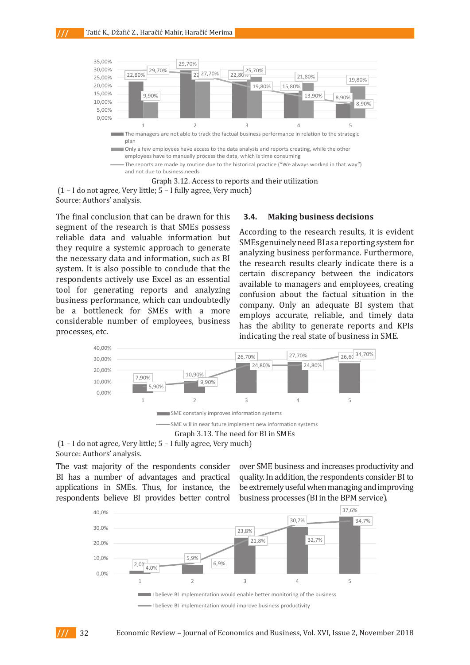

**Graph 3.12: Access to reports and their utilization**  (1 – I do not agree, Very little; 5 – I fully agree, Very much)  **(1 – I do not agree, Very little; 5 – I fully agree, Very much)**  Source: Authors' analysis.

**Source: Authors' analysis.**  segment of the research is that SMEs possess According to the research results, it is evidence reliable data and valuable information but **RCCOTOINE to the research results**, it is evi-The final conclusion that can be drawn for this they require a systemic approach to generate the necessary data and information, such as BI **3.4. Making business decisions**  system. It is also possible to conclude that the respondents actively use Excel as an essential tool for generating reports and analyzing business performance, which can undoubtedly be a bottleneck for SMEs with a more considerable number of employees, business and the ability to generate reports and processes, etc. generate reports and KPIs indicating the real state of business indicating the real state of business in Section 2016.

#### **3.4. Making business decisions**

ottleneck for SMEs with a more<br>able number of employees business, employs accurate, reliable, and timely data and the contract information in SMEs genuinely need BI as a reporting system for<br>life a systemic annroach to generate ance a systeme approach to generate analyzing business performance. Furthermore,  $\frac{1}{2}$ of the research is that small possess According to the research results, it is evident the research results clearly indicate there is a certain discrepancy between the indicators according the managers and employees, creating appropriate and analyzing available to managers and employees, creating generating reports and analyzing confusion about the factual situation in the nerformance which can undoubtedly performance, which can undoubledly company. Only an adequate BI system that has the ability to generate reports and KPIs indicating the real state of business in SME.



Graph 3.13. The need for BI in SMEs **Graph 3.13: The need for BI in SMEs** 

(1 – I do not agree, Very little; 5 – I fully agree, Very much)  **(1 – I do not agree, Very little; 5 – I fully agree, Very much)** 

Source: Authors' analysis.

The vast majority of the respondents consider BI has a number of advantages and practical applications in SMEs. Thus, for instance, the respondents believe BI provides better control  $\overline{\phantom{a}}$ **Source:**  $\overline{\phantom{a}}$  and  $\overline{\phantom{a}}$  and  $\overline{\phantom{a}}$ 

over SME business and increases productivity and number of advantages and practical quality. In addition, the respondents consider BI to  $p$  in SMEs. Thus, for instance, the be extremely useful when managing and improving nts believe BI provides better control business processes (BI in the BPM service).

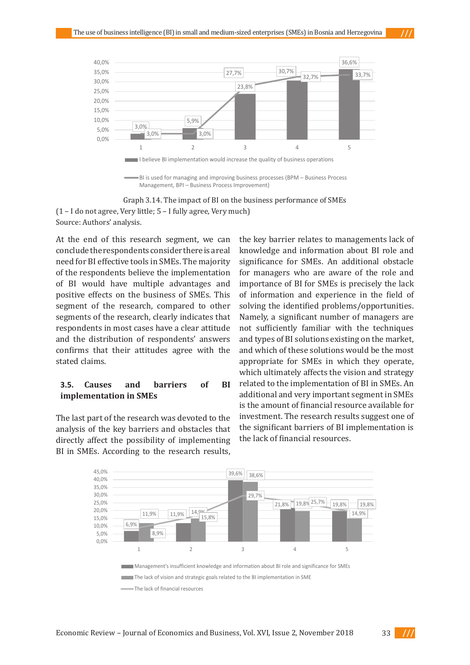

Management, BPI – Business Process Improvement)

**Graph 3.14: The impact of BI on the business performance of SMEs**  Graph 3.14. The impact of BI on the business performance of SMEs **AULIIOIS** dilalysis. (1 – I do not agree, Very little; 5 – I fully agree, Very much) Source: Authors' analysis.

At the end of this research segment, we can **claims.**  segments of the research, clearly indicates that confirms that their attitudes agree with the and which of the conclude the respondents consider there is a real need for BI effective tools in SMEs. The majority of the respondents believe the implementation of BI would have multiple advantages and positive effects on the business of SMEs. This segment of the research, compared to other respondents in most cases have a clear attitude and the distribution of respondents' answers stated claims.

#### **3.5. Causes and barriers of BI implementation in SMEs experience in the field of solving the identified problems** of solving problems of solving problems of solving problems of solving problems of solving problems of solving problems of solving problems of solving problems

The last part of the research was devoted to the **investment. The research results sugg** analysis of the key barriers and obstacles that directly affect the possibility of implementing BI in SMEs. According to the research results, ffect the possibility of implementing the lack of financial resources. **The research results suggest one of the significant barriers of BI implementation is the lack of financial resources.** 

r BI effective tools in SMEs. The majority significance for SMEs. An additional obstacle espondents believe the implementation for managers who are aware of the role and  $\frac{1}{2}$  implementation of BI would have multiple advantages and positive effects of BI fax  $\frac{1}{2}$  would have multiple advantages and positive effects of BI fax  $\frac{1}{2}$  would have **business of SMEs. This segment of the research of the compared to other segments of the respectively indicates that response that response in the field of information and experience in the field of distribution of respondents' answers confirms that their attitudes agree with the stated**  solving the identified problems/opportunities. **Causes** and barriers of BI related to the implementation of BI in SMEs. An **that directly affect the possibility of international binds** by the possibility of  $\mu$  in SMEs. **results, the key barrier relationship in the key management in the knowledge and information about the knowledge and information about**  $\mathbf{r}$ which ultimately affects the vision and strategy **entation in SMEs** additional and very important segment in SMEs is the amount of financial resource available for f the key barriers and obstacles that the significant barriers of BI implementation is the key barrier relates to managements lack of knowledge and information about BI role and importance of BI for SMEs is precisely the lack Namely, a significant number of managers are not sufficiently familiar with the techniques and types of BI solutions existing on the market, and which of these solutions would be the most appropriate for SMEs in which they operate, investment. The research results suggest one of

- 111

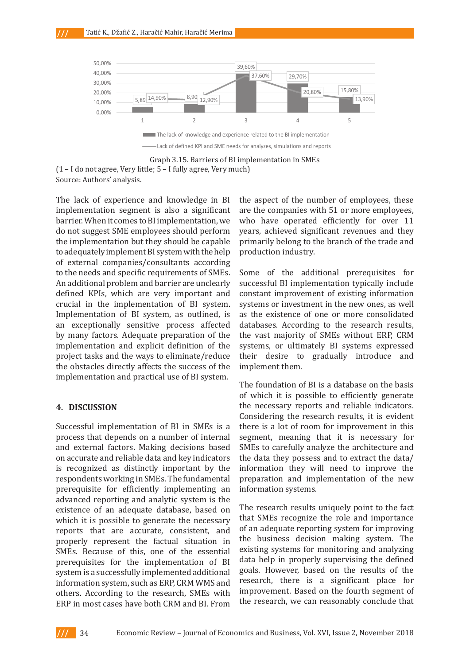

Lack of defined KPI and SME needs for analyzes, simulations and reports

implementation segment is also a significant are the companies with 51 or more empl to adequately implement BI system with the help  $\_$  production industry. of external companies/consultants according The lack of experience and knowledge in BI barrier. When it comes to BI implementation, we do not suggest SME employees should perform the implementation but they should be capable to the needs and specific requirements of SMEs. An additional problem and barrier are unclearly defined KPIs, which are very important and crucial in the implementation of BI system. Implementation of BI system, as outlined, is an exceptionally sensitive process affected by many factors. Adequate preparation of the implementation and explicit definition of the project tasks and the ways to eliminate/reduce the obstacles directly affects the success of the implementation and practical use of BI system.

**Source: Authors' analysis.** 

### **4. DISCUSSION**

Successful implementation of BI in SMEs is a process that depends on a number of internal and external factors. Making decisions based on accurate and reliable data and key indicators is recognized as distinctly important by the respondents working in SMEs. The fundamental prerequisite for efficiently implementing an advanced reporting and analytic system is the existence of an adequate database, based on which it is possible to generate the necessary reports that are accurate, consistent, and properly represent the factual situation in SMEs. Because of this, one of the essential prerequisites for the implementation of BI system is a successfully implemented additional information system, such as ERP, CRM WMS and others. According to the research, SMEs with ERP in most cases have both CRM and BI. From

of experience and knowledge in BI the aspect of the number of employees, these Vhen it comes to BI implementation, we who have operated efficiently for over  $11$ iggest SME employees should perform years, achieved significant revenues and they ementation but they should be capable primarily belong to the branch of the trade and are the companies with 51 or more employees, production industry.

> databases. According to the research results, Some of the additional prerequisites for successful BI implementation typically include constant improvement of existing information systems or investment in the new ones, as well as the existence of one or more consolidated the vast majority of SMEs without ERP, CRM systems, or ultimately BI systems expressed their desire to gradually introduce and implement them.

The foundation of BI is a database on the basis of which it is possible to efficiently generate the necessary reports and reliable indicators. Considering the research results, it is evident there is a lot of room for improvement in this segment, meaning that it is necessary for SMEs to carefully analyze the architecture and the data they possess and to extract the data/ information they will need to improve the preparation and implementation of the new information systems.

The research results uniquely point to the fact that SMEs recognize the role and importance of an adequate reporting system for improving the business decision making system. The existing systems for monitoring and analyzing data help in properly supervising the defined goals. However, based on the results of the research, there is a significant place for improvement. Based on the fourth segment of the research, we can reasonably conclude that

**Graph 3.15: Barriers of BI implementation in SMEs**  Graph 3.15. Barriers of BI implementation in SMEs **(1 – I do not agree, Very little; 5 – I fully agree, Very much)**  (1 – I do not agree, Very little; 5 – I fully agree, Very much) Source: Authors' analysis.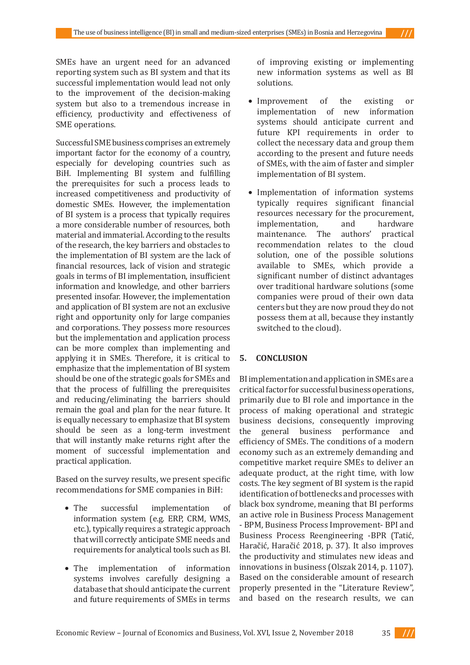SMEs have an urgent need for an advanced reporting system such as BI system and that its successful implementation would lead not only to the improvement of the decision-making system but also to a tremendous increase in efficiency, productivity and effectiveness of SME operations.

Successful SME business comprises an extremely important factor for the economy of a country, especially for developing countries such as BiH. Implementing BI system and fulfilling the prerequisites for such a process leads to increased competitiveness and productivity of domestic SMEs. However, the implementation of BI system is a process that typically requires a more considerable number of resources, both material and immaterial. According to the results of the research, the key barriers and obstacles to the implementation of BI system are the lack of financial resources, lack of vision and strategic goals in terms of BI implementation, insufficient information and knowledge, and other barriers presented insofar. However, the implementation and application of BI system are not an exclusive right and opportunity only for large companies and corporations. They possess more resources but the implementation and application process can be more complex than implementing and applying it in SMEs. Therefore, it is critical to emphasize that the implementation of BI system should be one of the strategic goals for SMEs and that the process of fulfilling the prerequisites and reducing/eliminating the barriers should remain the goal and plan for the near future. It is equally necessary to emphasize that BI system should be seen as a long-term investment that will instantly make returns right after the moment of successful implementation and practical application.

Based on the survey results, we present specific recommendations for SME companies in BiH:

- The successful implementation of information system (e.g. ERP, CRM, WMS, etc.), typically requires a strategic approach that will correctly anticipate SME needs and requirements for analytical tools such as BI.
- The implementation of information systems involves carefully designing a database that should anticipate the current and future requirements of SMEs in terms

of improving existing or implementing new information systems as well as BI solutions.

- Improvement of the existing or<br>implementation of new information implementation of systems should anticipate current and future KPI requirements in order to collect the necessary data and group them according to the present and future needs of SMEs, with the aim of faster and simpler implementation of BI system.
- Implementation of information systems typically requires significant financial resources necessary for the procurement,<br>implementation. and hardware implementation, and hardware<br>maintenance. The authors' practical maintenance. The recommendation relates to the cloud solution, one of the possible solutions available to SMEs, which provide a significant number of distinct advantages over traditional hardware solutions (some companies were proud of their own data centers but they are now proud they do not possess them at all, because they instantly switched to the cloud).

### **5. CONCLUSION**

BI implementation and application in SMEs are a critical factor for successful business operations, primarily due to BI role and importance in the process of making operational and strategic business decisions, consequently improving<br>the general business performance and general business performance and efficiency of SMEs. The conditions of a modern economy such as an extremely demanding and competitive market require SMEs to deliver an adequate product, at the right time, with low costs. The key segment of BI system is the rapid identification of bottlenecks and processes with black box syndrome, meaning that BI performs an active role in Business Process Management - BPM, Business Process Improvement- BPI and Business Process Reengineering -BPR (Tatić, Haračić, Haračić 2018, p. 37). It also improves the productivity and stimulates new ideas and innovations in business (Olszak 2014, p. 1107). Based on the considerable amount of research properly presented in the "Literature Review", and based on the research results, we can

 $\frac{1}{1}$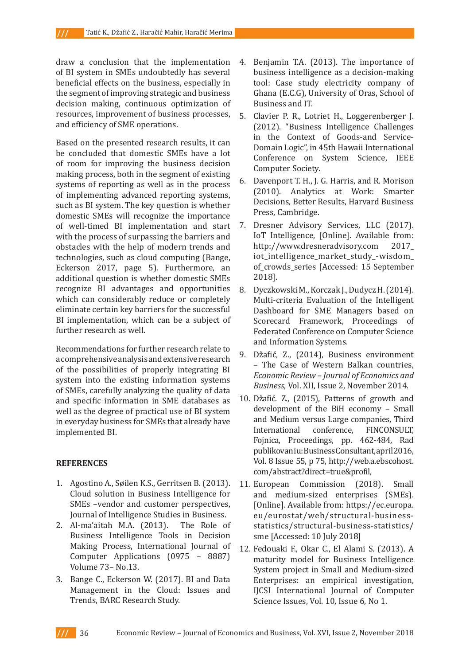draw a conclusion that the implementation of BI system in SMEs undoubtedly has several beneficial effects on the business, especially in the segment of improving strategic and business decision making, continuous optimization of resources, improvement of business processes, and efficiency of SME operations.

Based on the presented research results, it can be concluded that domestic SMEs have a lot of room for improving the business decision making process, both in the segment of existing systems of reporting as well as in the process of implementing advanced reporting systems, such as BI system. The key question is whether domestic SMEs will recognize the importance of well-timed BI implementation and start with the process of surpassing the barriers and obstacles with the help of modern trends and technologies, such as cloud computing (Bange, Eckerson 2017, page 5). Furthermore, an additional question is whether domestic SMEs recognize BI advantages and opportunities which can considerably reduce or completely eliminate certain key barriers for the successful BI implementation, which can be a subject of further research as well.

Recommendations for further research relate to a comprehensive analysis and extensive research of the possibilities of properly integrating BI system into the existing information systems of SMEs, carefully analyzing the quality of data and specific information in SME databases as well as the degree of practical use of BI system in everyday business for SMEs that already have implemented BI.

### **REFERENCES**

- 1. Agostino A., Søilen K.S., Gerritsen B. (2013). Cloud solution in Business Intelligence for SMEs –vendor and customer perspectives, Journal of Intelligence Studies in Business.<br>Al-ma'aitah M.A. (2013). The Role of
- 2. Al-ma'aitah M.A. (2013). Business Intelligence Tools in Decision Making Process, International Journal of Computer Applications (0975 – 8887) Volume 73– No.13.
- 3. Bange C., Eckerson W. (2017). BI and Data Management in the Cloud: Issues and Trends, BARC Research Study.
- 4. Benjamin T.A. (2013). The importance of business intelligence as a decision-making tool: Case study electricity company of Ghana (E.C.G), University of Oras, School of Business and IT.
- 5. Clavier P. R., Lotriet H., Loggerenberger J. (2012). "Business Intelligence Challenges in the Context of Goods-and Service-Domain Logic", in 45th Hawaii International Conference on System Science, IEEE Computer Society.
- 6. Davenport T. H., J. G. Harris, and R. Morison (2010). Analytics at Work: Smarter Decisions, Better Results, Harvard Business Press, Cambridge.
- 7. Dresner Advisory Services, LLC (2017). IoT Intelligence, [Online]. Available from: http://www.dresneradvisory.com 2017\_ iot\_intelligence\_market\_study\_-wisdom\_ of\_crowds\_series [Accessed: 15 September 2018].
- 8. Dyczkowski M., Korczak J., Dudycz H. (2014). Multi-criteria Evaluation of the Intelligent Dashboard for SME Managers based on Scorecard Framework, Proceedings of Federated Conference on Computer Science and Information Systems.
- 9. Džafić, Z., (2014), Business environment – The Case of Western Balkan countries, *Economic Review – Journal of Economics and Business*, Vol. XII, Issue 2, November 2014.
- 10. Džafić. Z., (2015), Patterns of growth and development of the BiH economy – Small and Medium versus Large companies, Third FINCONSULT. Fojnica, Proceedings, pp. 462-484, Rad publikovaniu: Business Consultant, april 2016, Vol. 8 Issue 55, p 75, http://web.a.ebscohost. com/abstract?direct=true&profil,
- 11. European Commission (2018). Small and medium-sized enterprises (SMEs). [Online]. Available from: https://ec.europa. eu/eurostat/web/structural-businessstatistics/structural-business-statistics/ sme [Accessed: 10 July 2018]
- 12. Fedouaki F., Okar C., El Alami S. (2013). A maturity model for Business Intelligence System project in Small and Medium-sized Enterprises: an empirical investigation, IJCSI International Journal of Computer Science Issues, Vol. 10, Issue 6, No 1.